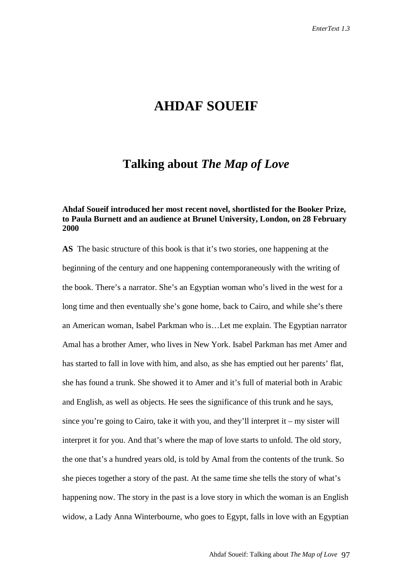# **AHDAF SOUEIF**

# **Talking about** *The Map of Love*

## **Ahdaf Soueif introduced her most recent novel, shortlisted for the Booker Prize, to Paula Burnett and an audience at Brunel University, London, on 28 February 2000**

**AS** The basic structure of this book is that it's two stories, one happening at the beginning of the century and one happening contemporaneously with the writing of the book. There's a narrator. She's an Egyptian woman who's lived in the west for a long time and then eventually she's gone home, back to Cairo, and while she's there an American woman, Isabel Parkman who is…Let me explain. The Egyptian narrator Amal has a brother Amer, who lives in New York. Isabel Parkman has met Amer and has started to fall in love with him, and also, as she has emptied out her parents' flat, she has found a trunk. She showed it to Amer and it's full of material both in Arabic and English, as well as objects. He sees the significance of this trunk and he says, since you're going to Cairo, take it with you, and they'll interpret it – my sister will interpret it for you. And that's where the map of love starts to unfold. The old story, the one that's a hundred years old, is told by Amal from the contents of the trunk. So she pieces together a story of the past. At the same time she tells the story of what's happening now. The story in the past is a love story in which the woman is an English widow, a Lady Anna Winterbourne, who goes to Egypt, falls in love with an Egyptian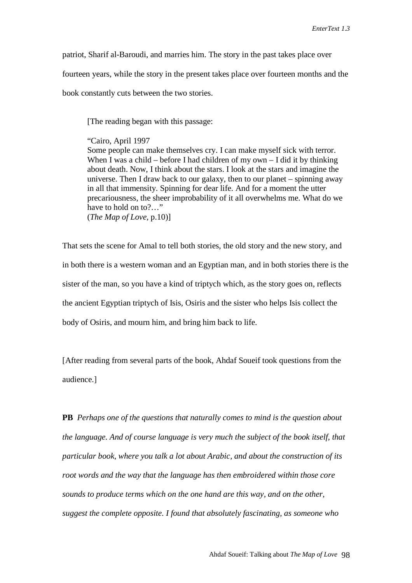patriot, Sharif al-Baroudi, and marries him. The story in the past takes place over

fourteen years, while the story in the present takes place over fourteen months and the

book constantly cuts between the two stories.

[The reading began with this passage:

"Cairo, April 1997

Some people can make themselves cry. I can make myself sick with terror. When I was a child – before I had children of my own  $-$  I did it by thinking about death. Now, I think about the stars. I look at the stars and imagine the universe. Then I draw back to our galaxy, then to our planet – spinning away in all that immensity. Spinning for dear life. And for a moment the utter precariousness, the sheer improbability of it all overwhelms me. What do we have to hold on to?…" (*The Map of Love,* p.10)]

That sets the scene for Amal to tell both stories, the old story and the new story, and in both there is a western woman and an Egyptian man, and in both stories there is the sister of the man, so you have a kind of triptych which, as the story goes on, reflects the ancient Egyptian triptych of Isis, Osiris and the sister who helps Isis collect the body of Osiris, and mourn him, and bring him back to life.

[After reading from several parts of the book, Ahdaf Soueif took questions from the audience.]

**PB** *Perhaps one of the questions that naturally comes to mind is the question about the language. And of course language is very much the subject of the book itself, that particular book, where you talk a lot about Arabic, and about the construction of its root words and the way that the language has then embroidered within those core sounds to produce terms which on the one hand are this way, and on the other, suggest the complete opposite. I found that absolutely fascinating, as someone who*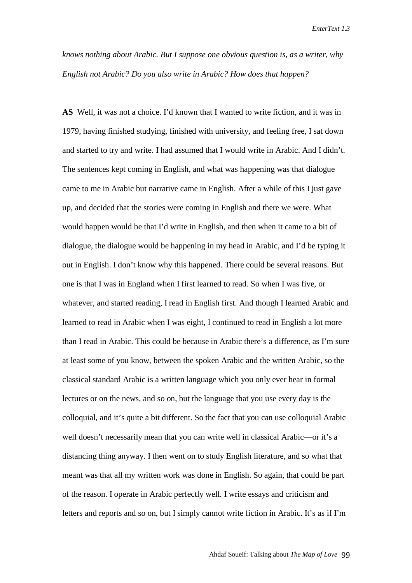*knows nothing about Arabic. But I suppose one obvious question is, as a writer, why English not Arabic? Do you also write in Arabic? How does that happen?*

**AS** Well, it was not a choice. I'd known that I wanted to write fiction, and it was in 1979, having finished studying, finished with university, and feeling free, I sat down and started to try and write. I had assumed that I would write in Arabic. And I didn't. The sentences kept coming in English, and what was happening was that dialogue came to me in Arabic but narrative came in English. After a while of this I just gave up, and decided that the stories were coming in English and there we were. What would happen would be that I'd write in English, and then when it came to a bit of dialogue, the dialogue would be happening in my head in Arabic, and I'd be typing it out in English. I don't know why this happened. There could be several reasons. But one is that I was in England when I first learned to read. So when I was five, or whatever, and started reading, I read in English first. And though I learned Arabic and learned to read in Arabic when I was eight, I continued to read in English a lot more than I read in Arabic. This could be because in Arabic there's a difference, as I'm sure at least some of you know, between the spoken Arabic and the written Arabic, so the classical standard Arabic is a written language which you only ever hear in formal lectures or on the news, and so on, but the language that you use every day is the colloquial, and it's quite a bit different. So the fact that you can use colloquial Arabic well doesn't necessarily mean that you can write well in classical Arabic—or it's a distancing thing anyway. I then went on to study English literature, and so what that meant was that all my written work was done in English. So again, that could be part of the reason. I operate in Arabic perfectly well. I write essays and criticism and letters and reports and so on, but I simply cannot write fiction in Arabic. It's as if I'm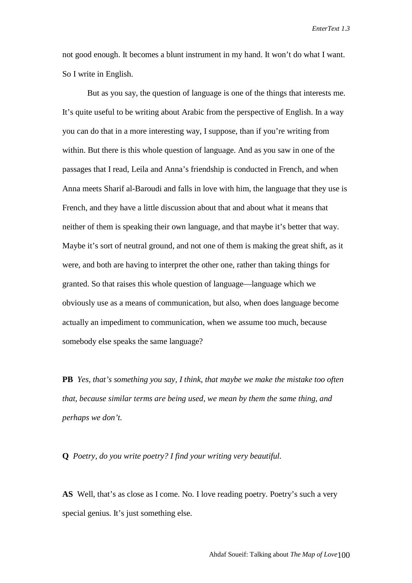not good enough. It becomes a blunt instrument in my hand. It won't do what I want. So I write in English.

But as you say, the question of language is one of the things that interests me. It's quite useful to be writing about Arabic from the perspective of English. In a way you can do that in a more interesting way, I suppose, than if you're writing from within. But there is this whole question of language. And as you saw in one of the passages that I read, Leila and Anna's friendship is conducted in French, and when Anna meets Sharif al-Baroudi and falls in love with him, the language that they use is French, and they have a little discussion about that and about what it means that neither of them is speaking their own language, and that maybe it's better that way. Maybe it's sort of neutral ground, and not one of them is making the great shift, as it were, and both are having to interpret the other one, rather than taking things for granted. So that raises this whole question of language—language which we obviously use as a means of communication, but also, when does language become actually an impediment to communication, when we assume too much, because somebody else speaks the same language?

**PB** *Yes, that's something you say, I think, that maybe we make the mistake too often that, because similar terms are being used, we mean by them the same thing, and perhaps we don't.*

**Q** *Poetry, do you write poetry? I find your writing very beautiful.*

**AS** Well, that's as close as I come. No. I love reading poetry. Poetry's such a very special genius. It's just something else.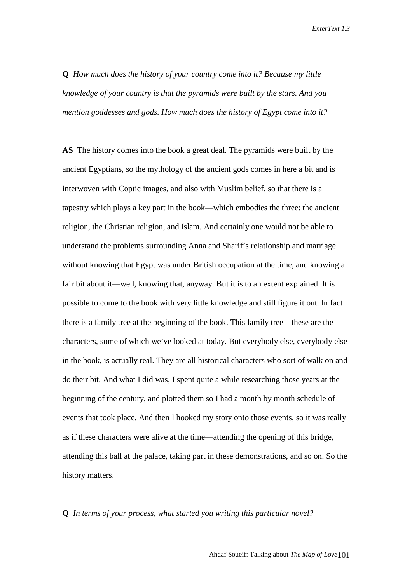**Q** *How much does the history of your country come into it? Because my little knowledge of your country is that the pyramids were built by the stars. And you mention goddesses and gods. How much does the history of Egypt come into it?*

**AS** The history comes into the book a great deal. The pyramids were built by the ancient Egyptians, so the mythology of the ancient gods comes in here a bit and is interwoven with Coptic images, and also with Muslim belief, so that there is a tapestry which plays a key part in the book—which embodies the three: the ancient religion, the Christian religion, and Islam. And certainly one would not be able to understand the problems surrounding Anna and Sharif's relationship and marriage without knowing that Egypt was under British occupation at the time, and knowing a fair bit about it—well, knowing that, anyway. But it is to an extent explained. It is possible to come to the book with very little knowledge and still figure it out. In fact there is a family tree at the beginning of the book. This family tree—these are the characters, some of which we've looked at today. But everybody else, everybody else in the book, is actually real. They are all historical characters who sort of walk on and do their bit. And what I did was, I spent quite a while researching those years at the beginning of the century, and plotted them so I had a month by month schedule of events that took place. And then I hooked my story onto those events, so it was really as if these characters were alive at the time—attending the opening of this bridge, attending this ball at the palace, taking part in these demonstrations, and so on. So the history matters.

### **Q** *In terms of your process, what started you writing this particular novel?*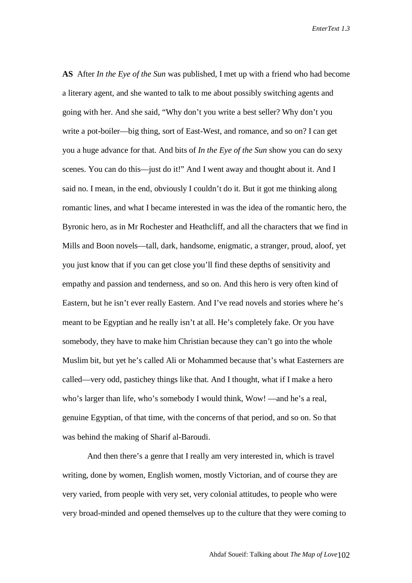**AS** After *In the Eye of the Sun* was published, I met up with a friend who had become a literary agent, and she wanted to talk to me about possibly switching agents and going with her. And she said, "Why don't you write a best seller? Why don't you write a pot-boiler—big thing, sort of East-West, and romance, and so on? I can get you a huge advance for that. And bits of *In the Eye of the Sun* show you can do sexy scenes. You can do this—just do it!" And I went away and thought about it. And I said no. I mean, in the end, obviously I couldn't do it. But it got me thinking along romantic lines, and what I became interested in was the idea of the romantic hero, the Byronic hero, as in Mr Rochester and Heathcliff, and all the characters that we find in Mills and Boon novels—tall, dark, handsome, enigmatic, a stranger, proud, aloof, yet you just know that if you can get close you'll find these depths of sensitivity and empathy and passion and tenderness, and so on. And this hero is very often kind of Eastern, but he isn't ever really Eastern. And I've read novels and stories where he's meant to be Egyptian and he really isn't at all. He's completely fake. Or you have somebody, they have to make him Christian because they can't go into the whole Muslim bit, but yet he's called Ali or Mohammed because that's what Easterners are called—very odd, pastichey things like that. And I thought, what if I make a hero who's larger than life, who's somebody I would think, Wow! —and he's a real, genuine Egyptian, of that time, with the concerns of that period, and so on. So that was behind the making of Sharif al-Baroudi.

And then there's a genre that I really am very interested in, which is travel writing, done by women, English women, mostly Victorian, and of course they are very varied, from people with very set, very colonial attitudes, to people who were very broad-minded and opened themselves up to the culture that they were coming to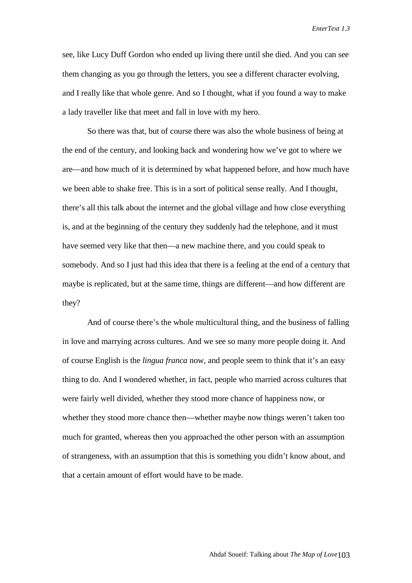see, like Lucy Duff Gordon who ended up living there until she died. And you can see them changing as you go through the letters, you see a different character evolving, and I really like that whole genre. And so I thought, what if you found a way to make a lady traveller like that meet and fall in love with my hero.

So there was that, but of course there was also the whole business of being at the end of the century, and looking back and wondering how we've got to where we are—and how much of it is determined by what happened before, and how much have we been able to shake free. This is in a sort of political sense really. And I thought, there's all this talk about the internet and the global village and how close everything is, and at the beginning of the century they suddenly had the telephone, and it must have seemed very like that then—a new machine there, and you could speak to somebody. And so I just had this idea that there is a feeling at the end of a century that maybe is replicated, but at the same time, things are different—and how different are they?

And of course there's the whole multicultural thing, and the business of falling in love and marrying across cultures. And we see so many more people doing it. And of course English is the *lingua franca* now, and people seem to think that it's an easy thing to do. And I wondered whether, in fact, people who married across cultures that were fairly well divided, whether they stood more chance of happiness now, or whether they stood more chance then—whether maybe now things weren't taken too much for granted, whereas then you approached the other person with an assumption of strangeness, with an assumption that this is something you didn't know about, and that a certain amount of effort would have to be made.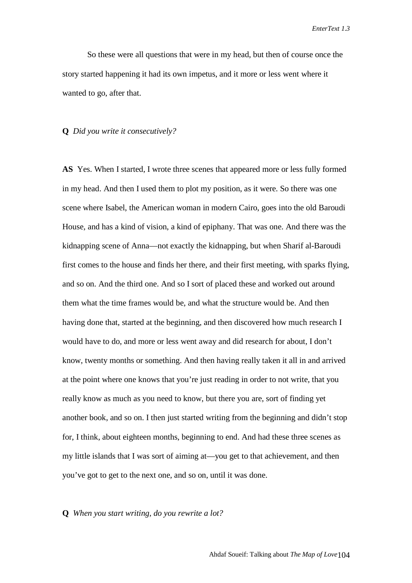So these were all questions that were in my head, but then of course once the story started happening it had its own impetus, and it more or less went where it wanted to go, after that.

#### **Q** *Did you write it consecutively?*

**AS** Yes. When I started, I wrote three scenes that appeared more or less fully formed in my head. And then I used them to plot my position, as it were. So there was one scene where Isabel, the American woman in modern Cairo, goes into the old Baroudi House, and has a kind of vision, a kind of epiphany. That was one. And there was the kidnapping scene of Anna—not exactly the kidnapping, but when Sharif al-Baroudi first comes to the house and finds her there, and their first meeting, with sparks flying, and so on. And the third one. And so I sort of placed these and worked out around them what the time frames would be, and what the structure would be. And then having done that, started at the beginning, and then discovered how much research I would have to do, and more or less went away and did research for about, I don't know, twenty months or something. And then having really taken it all in and arrived at the point where one knows that you're just reading in order to not write, that you really know as much as you need to know, but there you are, sort of finding yet another book, and so on. I then just started writing from the beginning and didn't stop for, I think, about eighteen months, beginning to end. And had these three scenes as my little islands that I was sort of aiming at—you get to that achievement, and then you've got to get to the next one, and so on, until it was done.

#### **Q** *When you start writing, do you rewrite a lot?*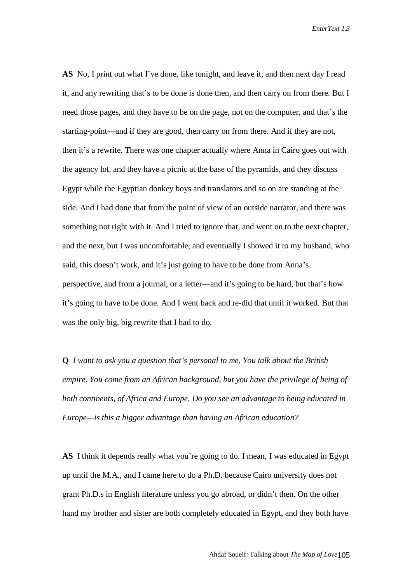**AS** No, I print out what I've done, like tonight, and leave it, and then next day I read it, and any rewriting that's to be done is done then, and then carry on from there. But I need those pages, and they have to be on the page, not on the computer, and that's the starting-point—and if they are good, then carry on from there. And if they are not, then it's a rewrite. There was one chapter actually where Anna in Cairo goes out with the agency lot, and they have a picnic at the base of the pyramids, and they discuss Egypt while the Egyptian donkey boys and translators and so on are standing at the side. And I had done that from the point of view of an outside narrator, and there was something not right with it. And I tried to ignore that, and went on to the next chapter, and the next, but I was uncomfortable, and eventually I showed it to my husband, who said, this doesn't work, and it's just going to have to be done from Anna's perspective, and from a journal, or a letter—and it's going to be hard, but that's how it's going to have to be done. And I went back and re-did that until it worked. But that was the only big, big rewrite that I had to do.

**Q** *I want to ask you a question that's personal to me. You talk about the British empire. You come from an African background, but you have the privilege of being of both continents, of Africa and Europe. Do you see an advantage to being educated in Europe—is this a bigger advantage than having an African education?*

**AS** I think it depends really what you're going to do. I mean, I was educated in Egypt up until the M.A., and I came here to do a Ph.D. because Cairo university does not grant Ph.D.s in English literature unless you go abroad, or didn't then. On the other hand my brother and sister are both completely educated in Egypt, and they both have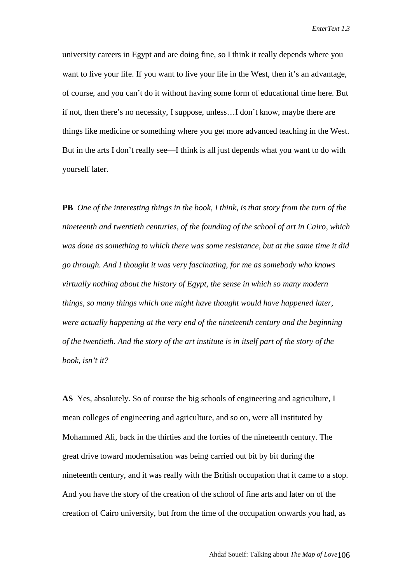university careers in Egypt and are doing fine, so I think it really depends where you want to live your life. If you want to live your life in the West, then it's an advantage, of course, and you can't do it without having some form of educational time here. But if not, then there's no necessity, I suppose, unless…I don't know, maybe there are things like medicine or something where you get more advanced teaching in the West. But in the arts I don't really see—I think is all just depends what you want to do with yourself later.

**PB** *One of the interesting things in the book, I think, is that story from the turn of the nineteenth and twentieth centuries, of the founding of the school of art in Cairo, which was done as something to which there was some resistance, but at the same time it did go through. And I thought it was very fascinating, for me as somebody who knows virtually nothing about the history of Egypt, the sense in which so many modern things, so many things which one might have thought would have happened later, were actually happening at the very end of the nineteenth century and the beginning of the twentieth. And the story of the art institute is in itself part of the story of the book, isn't it?*

**AS** Yes, absolutely. So of course the big schools of engineering and agriculture, I mean colleges of engineering and agriculture, and so on, were all instituted by Mohammed Ali, back in the thirties and the forties of the nineteenth century. The great drive toward modernisation was being carried out bit by bit during the nineteenth century, and it was really with the British occupation that it came to a stop. And you have the story of the creation of the school of fine arts and later on of the creation of Cairo university, but from the time of the occupation onwards you had, as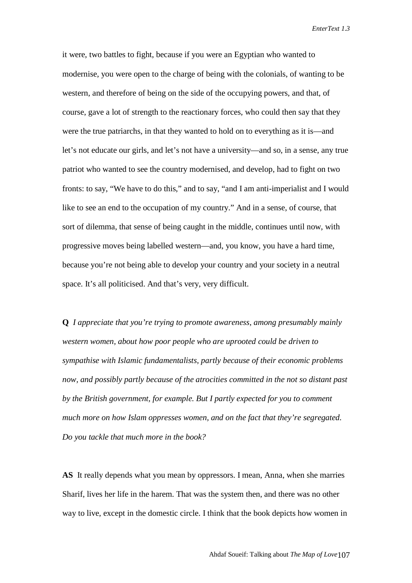it were, two battles to fight, because if you were an Egyptian who wanted to modernise, you were open to the charge of being with the colonials, of wanting to be western, and therefore of being on the side of the occupying powers, and that, of course, gave a lot of strength to the reactionary forces, who could then say that they were the true patriarchs, in that they wanted to hold on to everything as it is—and let's not educate our girls, and let's not have a university—and so, in a sense, any true patriot who wanted to see the country modernised, and develop, had to fight on two fronts: to say, "We have to do this," and to say, "and I am anti-imperialist and I would like to see an end to the occupation of my country." And in a sense, of course, that sort of dilemma, that sense of being caught in the middle, continues until now, with progressive moves being labelled western—and, you know, you have a hard time, because you're not being able to develop your country and your society in a neutral space. It's all politicised. And that's very, very difficult.

**Q** *I appreciate that you're trying to promote awareness, among presumably mainly western women, about how poor people who are uprooted could be driven to sympathise with Islamic fundamentalists, partly because of their economic problems now, and possibly partly because of the atrocities committed in the not so distant past by the British government, for example. But I partly expected for you to comment much more on how Islam oppresses women, and on the fact that they're segregated. Do you tackle that much more in the book?*

**AS** It really depends what you mean by oppressors. I mean, Anna, when she marries Sharif, lives her life in the harem. That was the system then, and there was no other way to live, except in the domestic circle. I think that the book depicts how women in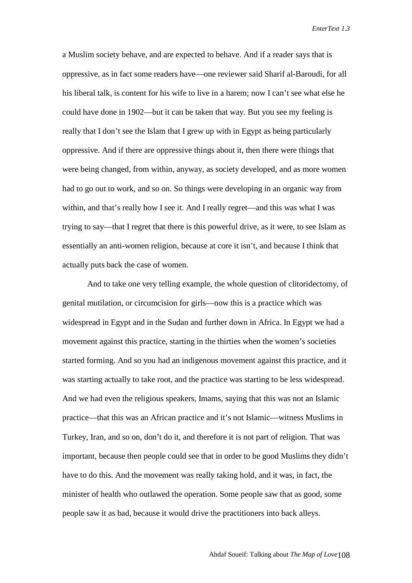a Muslim society behave, and are expected to behave. And if a reader says that is oppressive, as in fact some readers have—one reviewer said Sharif al-Baroudi, for all his liberal talk, is content for his wife to live in a harem; now I can't see what else he could have done in 1902—but it can be taken that way. But you see my feeling is really that I don't see the Islam that I grew up with in Egypt as being particularly oppressive. And if there are oppressive things about it, then there were things that were being changed, from within, anyway, as society developed, and as more women had to go out to work, and so on. So things were developing in an organic way from within, and that's really how I see it. And I really regret—and this was what I was trying to say—that I regret that there is this powerful drive, as it were, to see Islam as essentially an anti-women religion, because at core it isn't, and because I think that actually puts back the case of women.

And to take one very telling example, the whole question of clitoridectomy, of genital mutilation, or circumcision for girls—now this is a practice which was widespread in Egypt and in the Sudan and further down in Africa. In Egypt we had a movement against this practice, starting in the thirties when the women's societies started forming. And so you had an indigenous movement against this practice, and it was starting actually to take root, and the practice was starting to be less widespread. And we had even the religious speakers, Imams, saying that this was not an Islamic practice—that this was an African practice and it's not Islamic—witness Muslims in Turkey, Iran, and so on, don't do it, and therefore it is not part of religion. That was important, because then people could see that in order to be good Muslims they didn't have to do this. And the movement was really taking hold, and it was, in fact, the minister of health who outlawed the operation. Some people saw that as good, some people saw it as bad, because it would drive the practitioners into back alleys.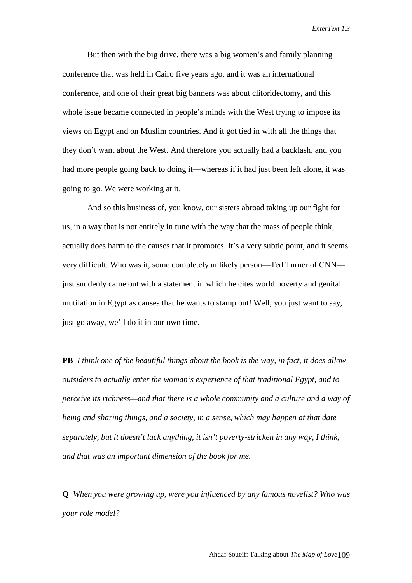But then with the big drive, there was a big women's and family planning conference that was held in Cairo five years ago, and it was an international conference, and one of their great big banners was about clitoridectomy, and this whole issue became connected in people's minds with the West trying to impose its views on Egypt and on Muslim countries. And it got tied in with all the things that they don't want about the West. And therefore you actually had a backlash, and you had more people going back to doing it—whereas if it had just been left alone, it was going to go. We were working at it.

And so this business of, you know, our sisters abroad taking up our fight for us, in a way that is not entirely in tune with the way that the mass of people think, actually does harm to the causes that it promotes. It's a very subtle point, and it seems very difficult. Who was it, some completely unlikely person—Ted Turner of CNN just suddenly came out with a statement in which he cites world poverty and genital mutilation in Egypt as causes that he wants to stamp out! Well, you just want to say, just go away, we'll do it in our own time.

**PB** *I think one of the beautiful things about the book is the way, in fact, it does allow outsiders to actually enter the woman's experience of that traditional Egypt, and to perceive its richness—and that there is a whole community and a culture and a way of being and sharing things, and a society, in a sense, which may happen at that date separately, but it doesn't lack anything, it isn't poverty-stricken in any way, I think, and that was an important dimension of the book for me.*

**Q** *When you were growing up, were you influenced by any famous novelist? Who was your role model?*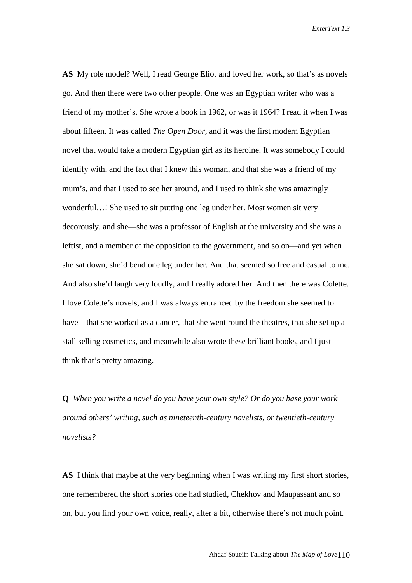**AS** My role model? Well, I read George Eliot and loved her work, so that's as novels go. And then there were two other people. One was an Egyptian writer who was a friend of my mother's. She wrote a book in 1962, or was it 1964? I read it when I was about fifteen. It was called *The Open Door,* and it was the first modern Egyptian novel that would take a modern Egyptian girl as its heroine. It was somebody I could identify with, and the fact that I knew this woman, and that she was a friend of my mum's, and that I used to see her around, and I used to think she was amazingly wonderful…! She used to sit putting one leg under her. Most women sit very decorously, and she—she was a professor of English at the university and she was a leftist, and a member of the opposition to the government, and so on—and yet when she sat down, she'd bend one leg under her. And that seemed so free and casual to me. And also she'd laugh very loudly, and I really adored her. And then there was Colette. I love Colette's novels, and I was always entranced by the freedom she seemed to have—that she worked as a dancer, that she went round the theatres, that she set up a stall selling cosmetics, and meanwhile also wrote these brilliant books, and I just think that's pretty amazing.

**Q** *When you write a novel do you have your own style? Or do you base your work around others' writing, such as nineteenth-century novelists, or twentieth-century novelists?*

**AS** I think that maybe at the very beginning when I was writing my first short stories, one remembered the short stories one had studied, Chekhov and Maupassant and so on, but you find your own voice, really, after a bit, otherwise there's not much point.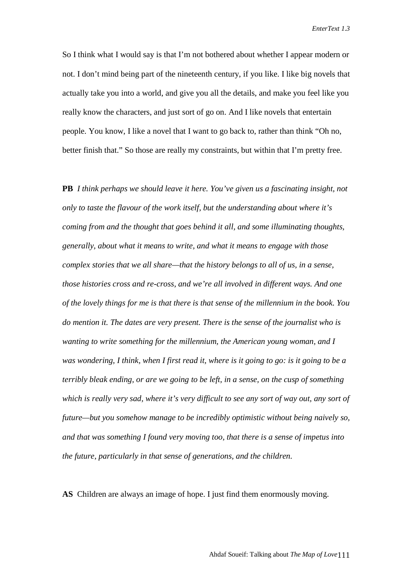So I think what I would say is that I'm not bothered about whether I appear modern or not. I don't mind being part of the nineteenth century, if you like. I like big novels that actually take you into a world, and give you all the details, and make you feel like you really know the characters, and just sort of go on. And I like novels that entertain people. You know, I like a novel that I want to go back to, rather than think "Oh no, better finish that." So those are really my constraints, but within that I'm pretty free.

**PB** *I think perhaps we should leave it here. You've given us a fascinating insight, not only to taste the flavour of the work itself, but the understanding about where it's coming from and the thought that goes behind it all, and some illuminating thoughts, generally, about what it means to write, and what it means to engage with those complex stories that we all share—that the history belongs to all of us, in a sense, those histories cross and re-cross, and we're all involved in different ways. And one of the lovely things for me is that there is that sense of the millennium in the book. You do mention it. The dates are very present. There is the sense of the journalist who is wanting to write something for the millennium, the American young woman, and I was wondering, I think, when I first read it, where is it going to go: is it going to be a terribly bleak ending, or are we going to be left, in a sense, on the cusp of something which is really very sad, where it's very difficult to see any sort of way out, any sort of future—but you somehow manage to be incredibly optimistic without being naively so, and that was something I found very moving too, that there is a sense of impetus into the future, particularly in that sense of generations, and the children.*

**AS** Children are always an image of hope. I just find them enormously moving.